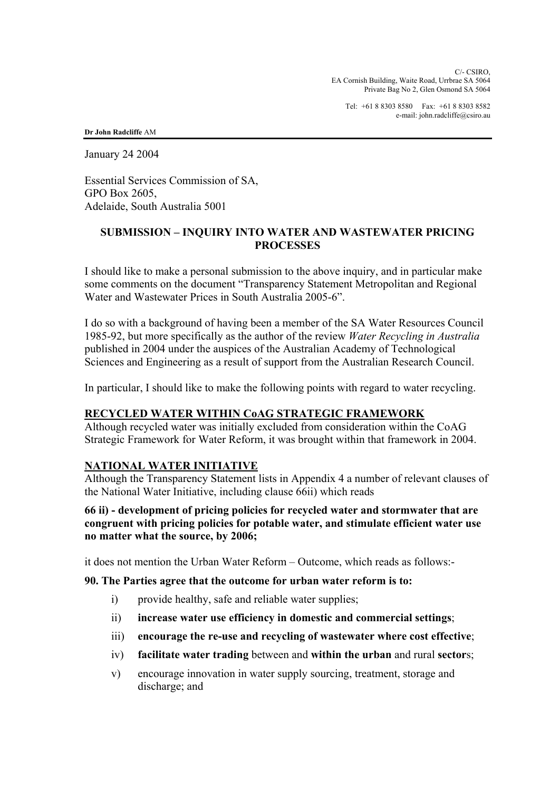C/- CSIRO, EA Cornish Building, Waite Road, Urrbrae SA 5064 Private Bag No 2, Glen Osmond SA 5064

Tel: +61 8 8303 8580 Fax: +61 8 8303 8582 e-mail: john.radcliffe@csiro.au

**Dr John Radcliffe** AM

January 24 2004

Essential Services Commission of SA, GPO Box 2605, Adelaide, South Australia 5001

### **SUBMISSION – INQUIRY INTO WATER AND WASTEWATER PRICING PROCESSES**

I should like to make a personal submission to the above inquiry, and in particular make some comments on the document "Transparency Statement Metropolitan and Regional Water and Wastewater Prices in South Australia 2005-6".

I do so with a background of having been a member of the SA Water Resources Council 1985-92, but more specifically as the author of the review *Water Recycling in Australia* published in 2004 under the auspices of the Australian Academy of Technological Sciences and Engineering as a result of support from the Australian Research Council.

In particular, I should like to make the following points with regard to water recycling.

### **RECYCLED WATER WITHIN CoAG STRATEGIC FRAMEWORK**

Although recycled water was initially excluded from consideration within the CoAG Strategic Framework for Water Reform, it was brought within that framework in 2004.

### **NATIONAL WATER INITIATIVE**

Although the Transparency Statement lists in Appendix 4 a number of relevant clauses of the National Water Initiative, including clause 66ii) which reads

### **66 ii) - development of pricing policies for recycled water and stormwater that are congruent with pricing policies for potable water, and stimulate efficient water use no matter what the source, by 2006;**

it does not mention the Urban Water Reform – Outcome, which reads as follows:-

### **90. The Parties agree that the outcome for urban water reform is to:**

- i) provide healthy, safe and reliable water supplies;
- ii) **increase water use efficiency in domestic and commercial settings**;
- iii) **encourage the re-use and recycling of wastewater where cost effective**;
- iv) **facilitate water trading** between and **within the urban** and rural **sector**s;
- v) encourage innovation in water supply sourcing, treatment, storage and discharge; and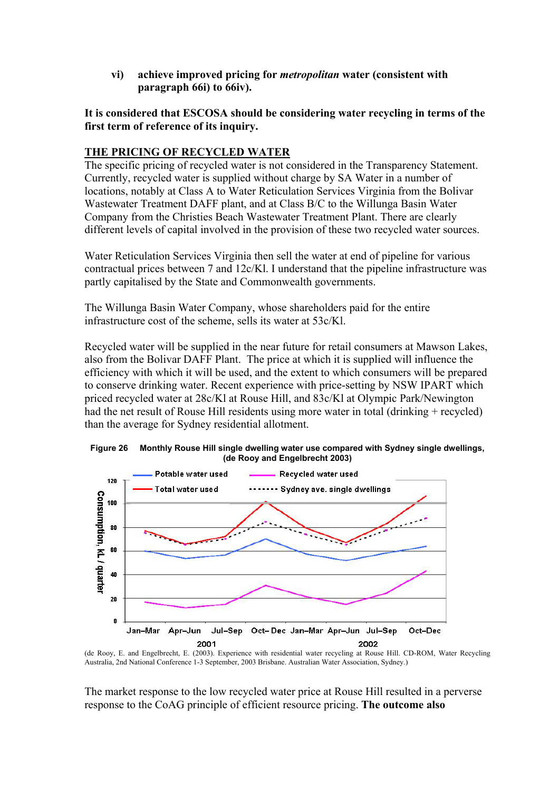**vi) achieve improved pricing for** *metropolitan* **water (consistent with paragraph 66i) to 66iv).** 

**It is considered that ESCOSA should be considering water recycling in terms of the first term of reference of its inquiry.** 

### **THE PRICING OF RECYCLED WATER**

The specific pricing of recycled water is not considered in the Transparency Statement. Currently, recycled water is supplied without charge by SA Water in a number of locations, notably at Class A to Water Reticulation Services Virginia from the Bolivar Wastewater Treatment DAFF plant, and at Class B/C to the Willunga Basin Water Company from the Christies Beach Wastewater Treatment Plant. There are clearly different levels of capital involved in the provision of these two recycled water sources.

Water Reticulation Services Virginia then sell the water at end of pipeline for various contractual prices between 7 and 12c/Kl. I understand that the pipeline infrastructure was partly capitalised by the State and Commonwealth governments.

The Willunga Basin Water Company, whose shareholders paid for the entire infrastructure cost of the scheme, sells its water at 53c/Kl.

Recycled water will be supplied in the near future for retail consumers at Mawson Lakes, also from the Bolivar DAFF Plant. The price at which it is supplied will influence the efficiency with which it will be used, and the extent to which consumers will be prepared to conserve drinking water. Recent experience with price-setting by NSW IPART which priced recycled water at 28c/Kl at Rouse Hill, and 83c/Kl at Olympic Park/Newington had the net result of Rouse Hill residents using more water in total (drinking + recycled) than the average for Sydney residential allotment.





(de Rooy, E. and Engelbrecht, E. (2003). Experience with residential water recycling at Rouse Hill. CD-ROM, Water Recycling Australia, 2nd National Conference 1-3 September, 2003 Brisbane. Australian Water Association, Sydney.)

The market response to the low recycled water price at Rouse Hill resulted in a perverse response to the CoAG principle of efficient resource pricing. **The outcome also**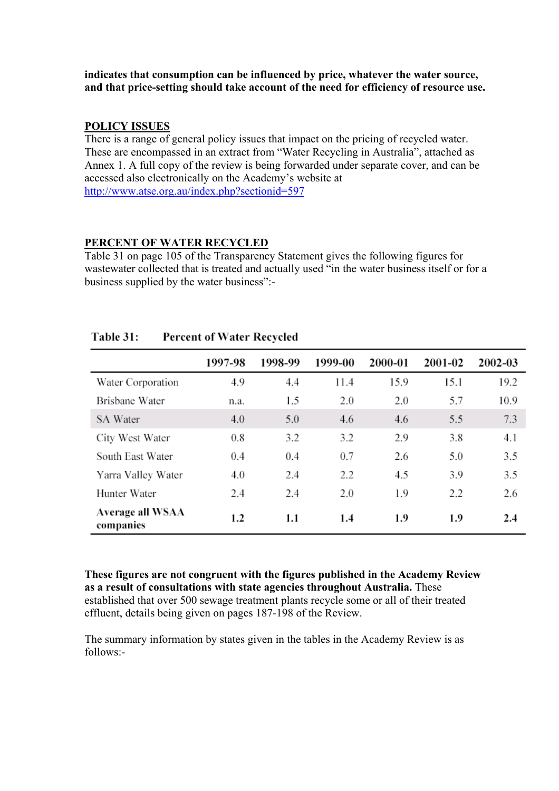### **indicates that consumption can be influenced by price, whatever the water source, and that price-setting should take account of the need for efficiency of resource use.**

### **POLICY ISSUES**

There is a range of general policy issues that impact on the pricing of recycled water. These are encompassed in an extract from "Water Recycling in Australia", attached as Annex 1. A full copy of the review is being forwarded under separate cover, and can be accessed also electronically on the Academy's website at http://www.atse.org.au/index.php?sectionid=597

### **PERCENT OF WATER RECYCLED**

Table 31 on page 105 of the Transparency Statement gives the following figures for wastewater collected that is treated and actually used "in the water business itself or for a business supplied by the water business":-

|                               | 1997-98 | 1998-99 | 1999-00 | 2000-01 | 2001-02 | 2002-03 |
|-------------------------------|---------|---------|---------|---------|---------|---------|
| Water Corporation             | 4.9     | 4.4     | 11.4    | 15.9    | 15.1    | 19.2    |
| Brisbane Water                | n.a.    | 1.5     | 2.0     | 2.0     | 5.7     | 10.9    |
| SA Water                      | 4.0     | 5.0     | 4.6     | 4.6     | 5.5     | 7.3     |
| City West Water               | 0.8     | 3.2     | 3.2     | 2.9     | 3.8     | 4.1     |
| South East Water              | 0.4     | 0.4     | 0.7     | 2.6     | 5.0     | 3.5     |
| Yarra Valley Water            | 4.0     | 2.4     | 2.2     | 4.5     | 3.9     | 3.5     |
| Hunter Water                  | 2.4     | 2.4     | 2.0     | 1.9     | 2.2     | 2.6     |
| Average all WSAA<br>companies | 1.2     | 1.1     | 1.4     | 1.9     | 1.9     | 2.4     |

#### Table 31: **Percent of Water Recycled**

**These figures are not congruent with the figures published in the Academy Review as a result of consultations with state agencies throughout Australia.** These established that over 500 sewage treatment plants recycle some or all of their treated effluent, details being given on pages 187-198 of the Review.

The summary information by states given in the tables in the Academy Review is as follows:-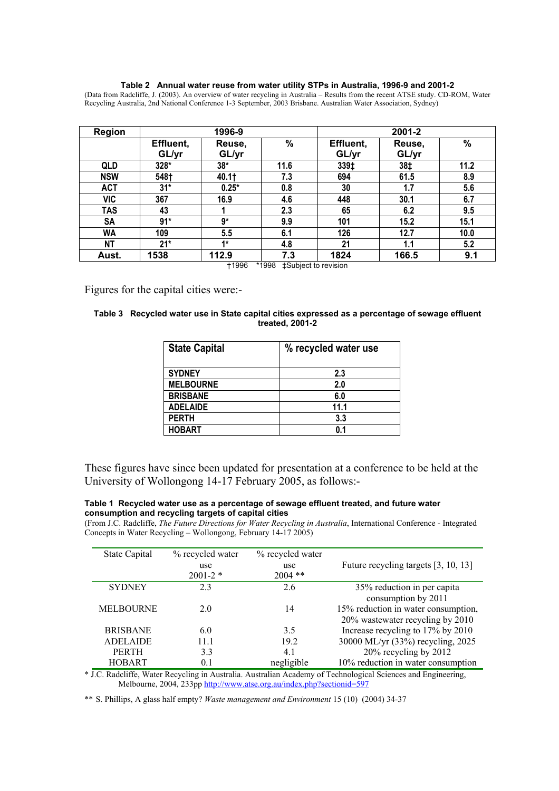### **Table 2 Annual water reuse from water utility STPs in Australia, 1996-9 and 2001-2**

(Data from Radcliffe, J. (2003). An overview of water recycling in Australia – Results from the recent ATSE study. CD-ROM, Water Recycling Australia, 2nd National Conference 1-3 September, 2003 Brisbane. Australian Water Association, Sydney)

| <b>Region</b> | 1996-9    |         |      | 2001-2    |        |      |
|---------------|-----------|---------|------|-----------|--------|------|
|               | Effluent, | Reuse,  | %    | Effluent, | Reuse, | $\%$ |
|               | GL/yr     | GL/yr   |      | GL/yr     | GL/yr  |      |
| <b>QLD</b>    | 328*      | $38*$   | 11.6 | 339‡      | 38‡    | 11.2 |
| <b>NSW</b>    | 548†      | 40.1†   | 7.3  | 694       | 61.5   | 8.9  |
| <b>ACT</b>    | $31*$     | $0.25*$ | 0.8  | 30        | 1.7    | 5.6  |
| <b>VIC</b>    | 367       | 16.9    | 4.6  | 448       | 30.1   | 6.7  |
| <b>TAS</b>    | 43        |         | 2.3  | 65        | 6.2    | 9.5  |
| SA            | $91*$     | $9*$    | 9.9  | 101       | 15.2   | 15.1 |
| WA            | 109       | 5.5     | 6.1  | 126       | 12.7   | 10.0 |
| <b>NT</b>     | $21*$     | $1*$    | 4.8  | 21        | 1.1    | 5.2  |
| Aust.         | 1538      | 112.9   | 7.3  | 1824      | 166.5  | 9.1  |

†1996 \*1998 ‡Subject to revision

Figures for the capital cities were:-

| Table 3 Recycled water use in State capital cities expressed as a percentage of sewage effluent |
|-------------------------------------------------------------------------------------------------|
| treated, 2001-2                                                                                 |

| <b>State Capital</b> | % recycled water use |  |  |  |  |
|----------------------|----------------------|--|--|--|--|
| <b>SYDNEY</b>        | 2.3                  |  |  |  |  |
| <b>MELBOURNE</b>     | 2.0                  |  |  |  |  |
| <b>BRISBANE</b>      | 6.0                  |  |  |  |  |
| <b>ADELAIDE</b>      | 11.1                 |  |  |  |  |
| <b>PERTH</b>         | 3.3                  |  |  |  |  |
| <b>HOBART</b>        | 0.1                  |  |  |  |  |

These figures have since been updated for presentation at a conference to be held at the University of Wollongong 14-17 February 2005, as follows:-

### **Table 1 Recycled water use as a percentage of sewage effluent treated, and future water consumption and recycling targets of capital cities**

(From J.C. Radcliffe, *The Future Directions for Water Recycling in Australia*, International Conference - Integrated Concepts in Water Recycling – Wollongong, February 14-17 2005)

| State Capital    | % recycled water | % recycled water |                                      |
|------------------|------------------|------------------|--------------------------------------|
|                  | use              | use              | Future recycling targets [3, 10, 13] |
|                  | $2001 - 2$ *     | $2004$ **        |                                      |
| <b>SYDNEY</b>    | 23               | 2.6              | 35% reduction in per capita          |
|                  |                  |                  | consumption by 2011                  |
| <b>MELBOURNE</b> | 20               | 14               | 15% reduction in water consumption,  |
|                  |                  |                  | 20% wastewater recycling by 2010     |
| <b>BRISBANE</b>  | 6.0              | 3.5              | Increase recycling to 17% by 2010    |
| <b>ADELAIDE</b>  | 11.1             | 19.2             | 30000 ML/yr (33%) recycling, 2025    |
| <b>PERTH</b>     | 3.3              | 4.1              | 20% recycling by 2012                |
| <b>HOBART</b>    | 0.1              | negligible       | 10% reduction in water consumption   |

\* J.C. Radcliffe, Water Recycling in Australia. Australian Academy of Technological Sciences and Engineering, Melbourne, 2004, 233pp http://www.atse.org.au/index.php?sectionid=597

\*\* S. Phillips, A glass half empty? *Waste management and Environment* 15 (10) (2004) 34-37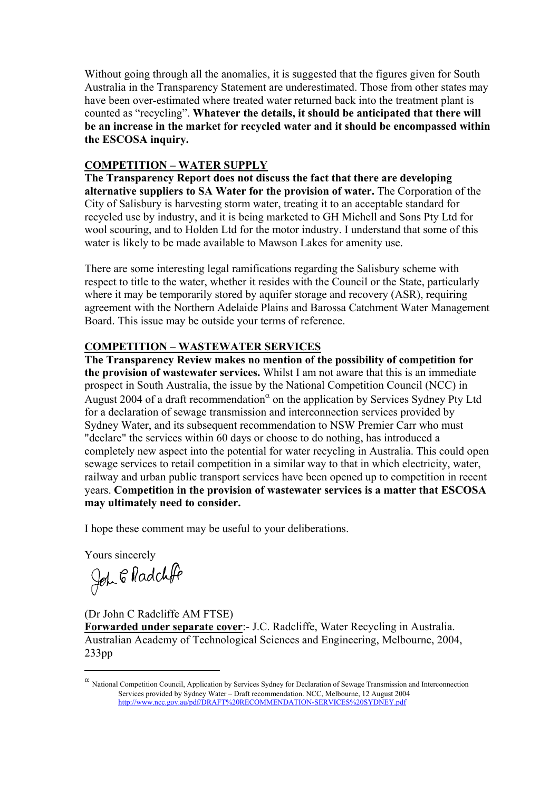Without going through all the anomalies, it is suggested that the figures given for South Australia in the Transparency Statement are underestimated. Those from other states may have been over-estimated where treated water returned back into the treatment plant is counted as "recycling". **Whatever the details, it should be anticipated that there will be an increase in the market for recycled water and it should be encompassed within the ESCOSA inquiry.** 

# **COMPETITION – WATER SUPPLY**

**The Transparency Report does not discuss the fact that there are developing alternative suppliers to SA Water for the provision of water.** The Corporation of the City of Salisbury is harvesting storm water, treating it to an acceptable standard for recycled use by industry, and it is being marketed to GH Michell and Sons Pty Ltd for wool scouring, and to Holden Ltd for the motor industry. I understand that some of this water is likely to be made available to Mawson Lakes for amenity use.

There are some interesting legal ramifications regarding the Salisbury scheme with respect to title to the water, whether it resides with the Council or the State, particularly where it may be temporarily stored by aquifer storage and recovery (ASR), requiring agreement with the Northern Adelaide Plains and Barossa Catchment Water Management Board. This issue may be outside your terms of reference.

# **COMPETITION – WASTEWATER SERVICES**

**The Transparency Review makes no mention of the possibility of competition for the provision of wastewater services.** Whilst I am not aware that this is an immediate prospect in South Australia, the issue by the National Competition Council (NCC) in August 2004 of a draft recommendation<sup> $\alpha$ </sup> on the application by Services Sydney Pty Ltd for a declaration of sewage transmission and interconnection services provided by Sydney Water, and its subsequent recommendation to NSW Premier Carr who must "declare" the services within 60 days or choose to do nothing, has introduced a completely new aspect into the potential for water recycling in Australia. This could open sewage services to retail competition in a similar way to that in which electricity, water, railway and urban public transport services have been opened up to competition in recent years. **Competition in the provision of wastewater services is a matter that ESCOSA may ultimately need to consider.** 

I hope these comment may be useful to your deliberations.

Yours sincerely

 $\overline{a}$ 

John & Radchffe

(Dr John C Radcliffe AM FTSE)

**Forwarded under separate cover**:- J.C. Radcliffe, Water Recycling in Australia. Australian Academy of Technological Sciences and Engineering, Melbourne, 2004, 233pp

 $α$  National Competition Council, Application by Services Sydney for Declaration of Sewage Transmission and Interconnection Services provided by Sydney Water – Draft recommendation. NCC, Melbourne, 12 August 2004 http://www.ncc.gov.au/pdf/DRAFT%20RECOMMENDATION-SERVICES%20SYDNEY.pdf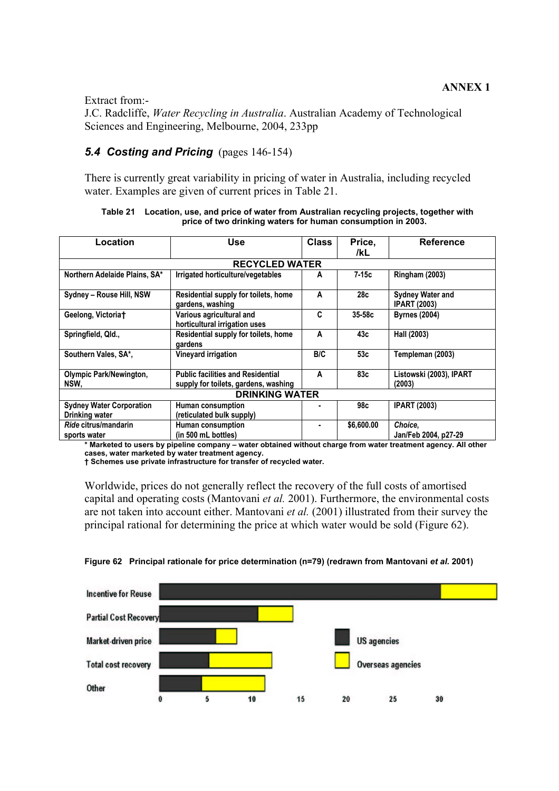Extract from:-

J.C. Radcliffe, *Water Recycling in Australia*. Australian Academy of Technological Sciences and Engineering, Melbourne, 2004, 233pp

# *5.4 Costing and Pricing* (pages 146-154)

There is currently great variability in pricing of water in Australia, including recycled water. Examples are given of current prices in Table 21.

| Location                                          | Use                                                                              |            | Price,<br>/kL | <b>Reference</b>                               |  |  |
|---------------------------------------------------|----------------------------------------------------------------------------------|------------|---------------|------------------------------------------------|--|--|
|                                                   | <b>RECYCLED WATER</b>                                                            |            |               |                                                |  |  |
| Northern Adelaide Plains, SA*                     | Irrigated horticulture/vegetables                                                | A          | $7-15c$       | <b>Ringham (2003)</b>                          |  |  |
| Sydney - Rouse Hill, NSW                          | Residential supply for toilets, home<br>gardens, washing                         | A          | 28c           | <b>Sydney Water and</b><br><b>IPART (2003)</b> |  |  |
| Geelong, Victoriat                                | Various agricultural and<br>horticultural irrigation uses                        | C          | 35-58c        | <b>Byrnes (2004)</b>                           |  |  |
| Springfield, Qld.,                                | Residential supply for toilets, home<br>gardens                                  | A          | 43с           | Hall (2003)                                    |  |  |
| Southern Vales, SA*,                              | Vineyard irrigation                                                              | <b>BIC</b> | 53с           | Templeman (2003)                               |  |  |
| <b>Olympic Park/Newington,</b><br>NSW,            | <b>Public facilities and Residential</b><br>supply for toilets, gardens, washing | A          | 83с           | Listowski (2003), IPART<br>(2003)              |  |  |
| <b>DRINKING WATER</b>                             |                                                                                  |            |               |                                                |  |  |
| <b>Sydney Water Corporation</b><br>Drinking water | Human consumption<br>(reticulated bulk supply)                                   |            | 98c           | <b>IPART (2003)</b>                            |  |  |
| Ride citrus/mandarin<br>sports water              | Human consumption<br>(in 500 mL bottles)                                         |            | \$6,600.00    | Choice,<br>Jan/Feb 2004, p27-29                |  |  |

**Table 21 Location, use, and price of water from Australian recycling projects, together with price of two drinking waters for human consumption in 2003.** 

**\* Marketed to users by pipeline company – water obtained without charge from water treatment agency. All other cases, water marketed by water treatment agency.** 

**† Schemes use private infrastructure for transfer of recycled water.** 

Worldwide, prices do not generally reflect the recovery of the full costs of amortised capital and operating costs (Mantovani *et al.* 2001). Furthermore, the environmental costs are not taken into account either. Mantovani *et al.* (2001) illustrated from their survey the principal rational for determining the price at which water would be sold (Figure 62).



### **Figure 62 Principal rationale for price determination (n=79) (redrawn from Mantovani** *et al.* **2001)**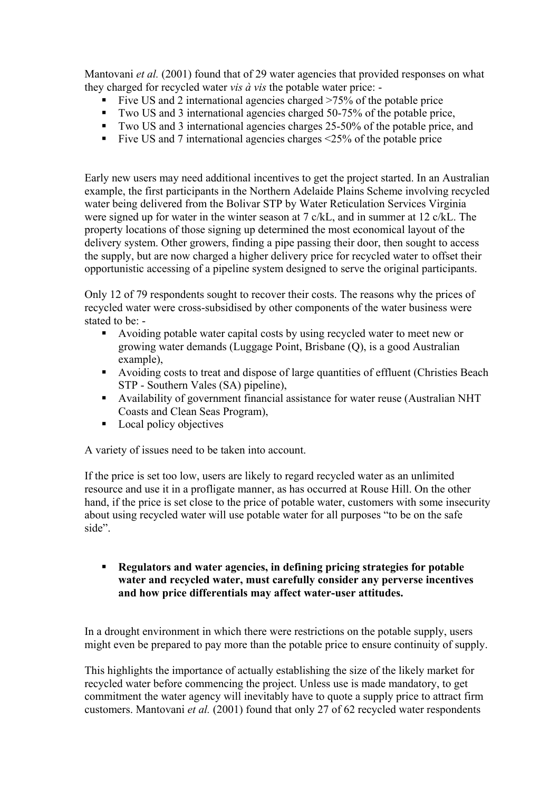Mantovani *et al.* (2001) found that of 29 water agencies that provided responses on what they charged for recycled water *vis à vis* the potable water price: -

- Five US and 2 international agencies charged >75% of the potable price
- Two US and 3 international agencies charged 50-75% of the potable price,
- Two US and 3 international agencies charges 25-50% of the potable price, and
- Five US and 7 international agencies charges  $\leq$  25% of the potable price

Early new users may need additional incentives to get the project started. In an Australian example, the first participants in the Northern Adelaide Plains Scheme involving recycled water being delivered from the Bolivar STP by Water Reticulation Services Virginia were signed up for water in the winter season at 7 c/kL, and in summer at 12 c/kL. The property locations of those signing up determined the most economical layout of the delivery system. Other growers, finding a pipe passing their door, then sought to access the supply, but are now charged a higher delivery price for recycled water to offset their opportunistic accessing of a pipeline system designed to serve the original participants.

Only 12 of 79 respondents sought to recover their costs. The reasons why the prices of recycled water were cross-subsidised by other components of the water business were stated to be: -

- Avoiding potable water capital costs by using recycled water to meet new or growing water demands (Luggage Point, Brisbane (Q), is a good Australian example),
- Avoiding costs to treat and dispose of large quantities of effluent (Christies Beach STP - Southern Vales (SA) pipeline),
- Availability of government financial assistance for water reuse (Australian NHT Coasts and Clean Seas Program),
- Local policy objectives

A variety of issues need to be taken into account.

If the price is set too low, users are likely to regard recycled water as an unlimited resource and use it in a profligate manner, as has occurred at Rouse Hill. On the other hand, if the price is set close to the price of potable water, customers with some insecurity about using recycled water will use potable water for all purposes "to be on the safe side".

 **Regulators and water agencies, in defining pricing strategies for potable water and recycled water, must carefully consider any perverse incentives and how price differentials may affect water-user attitudes.** 

In a drought environment in which there were restrictions on the potable supply, users might even be prepared to pay more than the potable price to ensure continuity of supply.

This highlights the importance of actually establishing the size of the likely market for recycled water before commencing the project. Unless use is made mandatory, to get commitment the water agency will inevitably have to quote a supply price to attract firm customers. Mantovani *et al.* (2001) found that only 27 of 62 recycled water respondents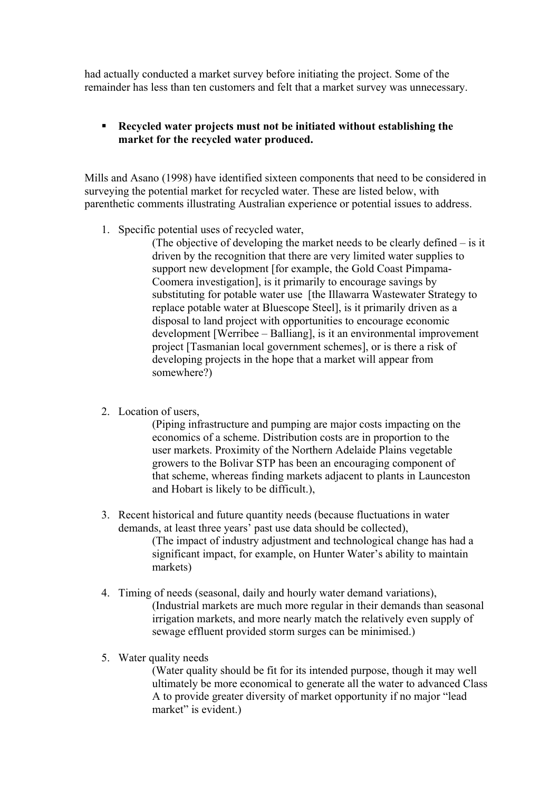had actually conducted a market survey before initiating the project. Some of the remainder has less than ten customers and felt that a market survey was unnecessary.

# **Recycled water projects must not be initiated without establishing the market for the recycled water produced.**

Mills and Asano (1998) have identified sixteen components that need to be considered in surveying the potential market for recycled water. These are listed below, with parenthetic comments illustrating Australian experience or potential issues to address.

1. Specific potential uses of recycled water,

(The objective of developing the market needs to be clearly defined – is it driven by the recognition that there are very limited water supplies to support new development [for example, the Gold Coast Pimpama-Coomera investigation], is it primarily to encourage savings by substituting for potable water use [the Illawarra Wastewater Strategy to replace potable water at Bluescope Steel], is it primarily driven as a disposal to land project with opportunities to encourage economic development [Werribee – Balliang], is it an environmental improvement project [Tasmanian local government schemes], or is there a risk of developing projects in the hope that a market will appear from somewhere?)

2. Location of users,

(Piping infrastructure and pumping are major costs impacting on the economics of a scheme. Distribution costs are in proportion to the user markets. Proximity of the Northern Adelaide Plains vegetable growers to the Bolivar STP has been an encouraging component of that scheme, whereas finding markets adjacent to plants in Launceston and Hobart is likely to be difficult.),

- 3. Recent historical and future quantity needs (because fluctuations in water demands, at least three years' past use data should be collected), (The impact of industry adjustment and technological change has had a significant impact, for example, on Hunter Water's ability to maintain markets)
- 4. Timing of needs (seasonal, daily and hourly water demand variations), (Industrial markets are much more regular in their demands than seasonal irrigation markets, and more nearly match the relatively even supply of sewage effluent provided storm surges can be minimised.)
- 5. Water quality needs

(Water quality should be fit for its intended purpose, though it may well ultimately be more economical to generate all the water to advanced Class A to provide greater diversity of market opportunity if no major "lead market" is evident.)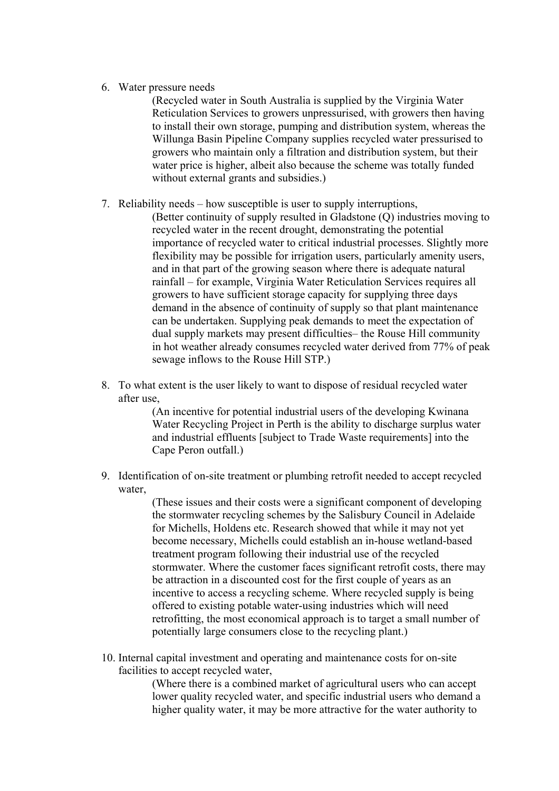6. Water pressure needs

(Recycled water in South Australia is supplied by the Virginia Water Reticulation Services to growers unpressurised, with growers then having to install their own storage, pumping and distribution system, whereas the Willunga Basin Pipeline Company supplies recycled water pressurised to growers who maintain only a filtration and distribution system, but their water price is higher, albeit also because the scheme was totally funded without external grants and subsidies.)

7. Reliability needs – how susceptible is user to supply interruptions,

(Better continuity of supply resulted in Gladstone (Q) industries moving to recycled water in the recent drought, demonstrating the potential importance of recycled water to critical industrial processes. Slightly more flexibility may be possible for irrigation users, particularly amenity users, and in that part of the growing season where there is adequate natural rainfall – for example, Virginia Water Reticulation Services requires all growers to have sufficient storage capacity for supplying three days demand in the absence of continuity of supply so that plant maintenance can be undertaken. Supplying peak demands to meet the expectation of dual supply markets may present difficulties– the Rouse Hill community in hot weather already consumes recycled water derived from 77% of peak sewage inflows to the Rouse Hill STP.)

8. To what extent is the user likely to want to dispose of residual recycled water after use,

> (An incentive for potential industrial users of the developing Kwinana Water Recycling Project in Perth is the ability to discharge surplus water and industrial effluents [subject to Trade Waste requirements] into the Cape Peron outfall.)

9. Identification of on-site treatment or plumbing retrofit needed to accept recycled water,

(These issues and their costs were a significant component of developing the stormwater recycling schemes by the Salisbury Council in Adelaide for Michells, Holdens etc. Research showed that while it may not yet become necessary, Michells could establish an in-house wetland-based treatment program following their industrial use of the recycled stormwater. Where the customer faces significant retrofit costs, there may be attraction in a discounted cost for the first couple of years as an incentive to access a recycling scheme. Where recycled supply is being offered to existing potable water-using industries which will need retrofitting, the most economical approach is to target a small number of potentially large consumers close to the recycling plant.)

10. Internal capital investment and operating and maintenance costs for on-site facilities to accept recycled water,

> (Where there is a combined market of agricultural users who can accept lower quality recycled water, and specific industrial users who demand a higher quality water, it may be more attractive for the water authority to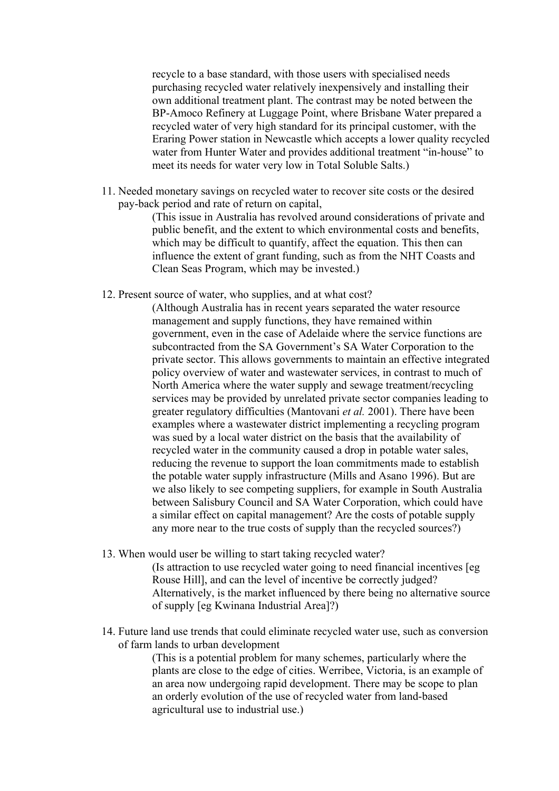recycle to a base standard, with those users with specialised needs purchasing recycled water relatively inexpensively and installing their own additional treatment plant. The contrast may be noted between the BP-Amoco Refinery at Luggage Point, where Brisbane Water prepared a recycled water of very high standard for its principal customer, with the Eraring Power station in Newcastle which accepts a lower quality recycled water from Hunter Water and provides additional treatment "in-house" to meet its needs for water very low in Total Soluble Salts.)

11. Needed monetary savings on recycled water to recover site costs or the desired pay-back period and rate of return on capital,

> (This issue in Australia has revolved around considerations of private and public benefit, and the extent to which environmental costs and benefits, which may be difficult to quantify, affect the equation. This then can influence the extent of grant funding, such as from the NHT Coasts and Clean Seas Program, which may be invested.)

12. Present source of water, who supplies, and at what cost?

(Although Australia has in recent years separated the water resource management and supply functions, they have remained within government, even in the case of Adelaide where the service functions are subcontracted from the SA Government's SA Water Corporation to the private sector. This allows governments to maintain an effective integrated policy overview of water and wastewater services, in contrast to much of North America where the water supply and sewage treatment/recycling services may be provided by unrelated private sector companies leading to greater regulatory difficulties (Mantovani *et al.* 2001). There have been examples where a wastewater district implementing a recycling program was sued by a local water district on the basis that the availability of recycled water in the community caused a drop in potable water sales, reducing the revenue to support the loan commitments made to establish the potable water supply infrastructure (Mills and Asano 1996). But are we also likely to see competing suppliers, for example in South Australia between Salisbury Council and SA Water Corporation, which could have a similar effect on capital management? Are the costs of potable supply any more near to the true costs of supply than the recycled sources?)

13. When would user be willing to start taking recycled water? (Is attraction to use recycled water going to need financial incentives [eg Rouse Hill], and can the level of incentive be correctly judged? Alternatively, is the market influenced by there being no alternative source

of supply [eg Kwinana Industrial Area]?)

14. Future land use trends that could eliminate recycled water use, such as conversion of farm lands to urban development

> (This is a potential problem for many schemes, particularly where the plants are close to the edge of cities. Werribee, Victoria, is an example of an area now undergoing rapid development. There may be scope to plan an orderly evolution of the use of recycled water from land-based agricultural use to industrial use.)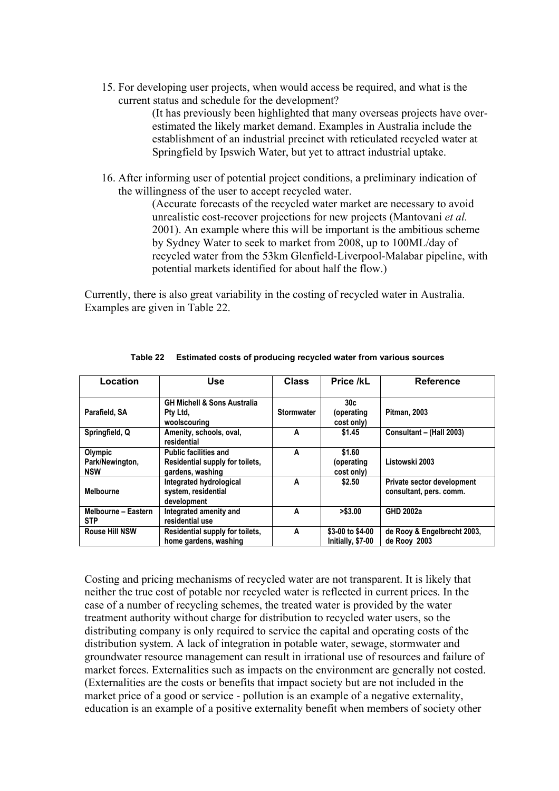15. For developing user projects, when would access be required, and what is the current status and schedule for the development?

> (It has previously been highlighted that many overseas projects have overestimated the likely market demand. Examples in Australia include the establishment of an industrial precinct with reticulated recycled water at Springfield by Ipswich Water, but yet to attract industrial uptake.

16. After informing user of potential project conditions, a preliminary indication of the willingness of the user to accept recycled water.

> (Accurate forecasts of the recycled water market are necessary to avoid unrealistic cost-recover projections for new projects (Mantovani *et al.* 2001). An example where this will be important is the ambitious scheme by Sydney Water to seek to market from 2008, up to 100ML/day of recycled water from the 53km Glenfield-Liverpool-Malabar pipeline, with potential markets identified for about half the flow.)

Currently, there is also great variability in the costing of recycled water in Australia. Examples are given in Table 22.

| Location                                 | <b>Use</b>                                                                          | <b>Class</b>      | Price /kL                                   | <b>Reference</b>                                      |
|------------------------------------------|-------------------------------------------------------------------------------------|-------------------|---------------------------------------------|-------------------------------------------------------|
| Parafield, SA                            | <b>GH Michell &amp; Sons Australia</b><br>Pty Ltd.<br>woolscouring                  | <b>Stormwater</b> | 30 <sub>c</sub><br>(operating<br>cost only) | <b>Pitman, 2003</b>                                   |
| Springfield, Q                           | Amenity, schools, oval,<br>residential                                              | A                 | \$1.45                                      | Consultant - (Hall 2003)                              |
| Olympic<br>Park/Newington,<br><b>NSW</b> | <b>Public facilities and</b><br>Residential supply for toilets,<br>gardens, washing | A                 | \$1.60<br>(operating<br>cost only)          | Listowski 2003                                        |
| <b>Melbourne</b>                         | Integrated hydrological<br>system, residential<br>development                       | A                 | \$2.50                                      | Private sector development<br>consultant, pers. comm. |
| Melbourne - Eastern<br><b>STP</b>        | Integrated amenity and<br>residential use                                           | A                 | > \$3.00                                    | <b>GHD 2002a</b>                                      |
| <b>Rouse Hill NSW</b>                    | Residential supply for toilets,<br>home gardens, washing                            | A                 | \$3-00 to \$4-00<br>Initially, \$7-00       | de Rooy & Engelbrecht 2003,<br>de Rooy 2003           |

**Table 22 Estimated costs of producing recycled water from various sources** 

Costing and pricing mechanisms of recycled water are not transparent. It is likely that neither the true cost of potable nor recycled water is reflected in current prices. In the case of a number of recycling schemes, the treated water is provided by the water treatment authority without charge for distribution to recycled water users, so the distributing company is only required to service the capital and operating costs of the distribution system. A lack of integration in potable water, sewage, stormwater and groundwater resource management can result in irrational use of resources and failure of market forces. Externalities such as impacts on the environment are generally not costed. (Externalities are the costs or benefits that impact society but are not included in the market price of a good or service - pollution is an example of a negative externality, education is an example of a positive externality benefit when members of society other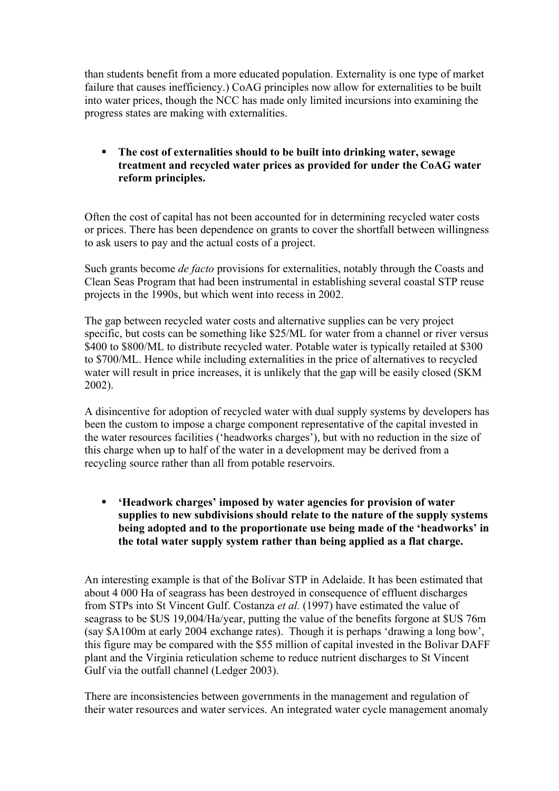than students benefit from a more educated population. Externality is one type of market failure that causes inefficiency.) CoAG principles now allow for externalities to be built into water prices, though the NCC has made only limited incursions into examining the progress states are making with externalities.

 **The cost of externalities should to be built into drinking water, sewage treatment and recycled water prices as provided for under the CoAG water reform principles.** 

Often the cost of capital has not been accounted for in determining recycled water costs or prices. There has been dependence on grants to cover the shortfall between willingness to ask users to pay and the actual costs of a project.

Such grants become *de facto* provisions for externalities, notably through the Coasts and Clean Seas Program that had been instrumental in establishing several coastal STP reuse projects in the 1990s, but which went into recess in 2002.

The gap between recycled water costs and alternative supplies can be very project specific, but costs can be something like \$25/ML for water from a channel or river versus \$400 to \$800/ML to distribute recycled water. Potable water is typically retailed at \$300 to \$700/ML. Hence while including externalities in the price of alternatives to recycled water will result in price increases, it is unlikely that the gap will be easily closed (SKM 2002).

A disincentive for adoption of recycled water with dual supply systems by developers has been the custom to impose a charge component representative of the capital invested in the water resources facilities ('headworks charges'), but with no reduction in the size of this charge when up to half of the water in a development may be derived from a recycling source rather than all from potable reservoirs.

 **'Headwork charges' imposed by water agencies for provision of water supplies to new subdivisions should relate to the nature of the supply systems being adopted and to the proportionate use being made of the 'headworks' in the total water supply system rather than being applied as a flat charge.** 

An interesting example is that of the Bolivar STP in Adelaide. It has been estimated that about 4 000 Ha of seagrass has been destroyed in consequence of effluent discharges from STPs into St Vincent Gulf. Costanza *et al.* (1997) have estimated the value of seagrass to be \$US 19,004/Ha/year, putting the value of the benefits forgone at \$US 76m (say \$A100m at early 2004 exchange rates). Though it is perhaps 'drawing a long bow', this figure may be compared with the \$55 million of capital invested in the Bolivar DAFF plant and the Virginia reticulation scheme to reduce nutrient discharges to St Vincent Gulf via the outfall channel (Ledger 2003).

There are inconsistencies between governments in the management and regulation of their water resources and water services. An integrated water cycle management anomaly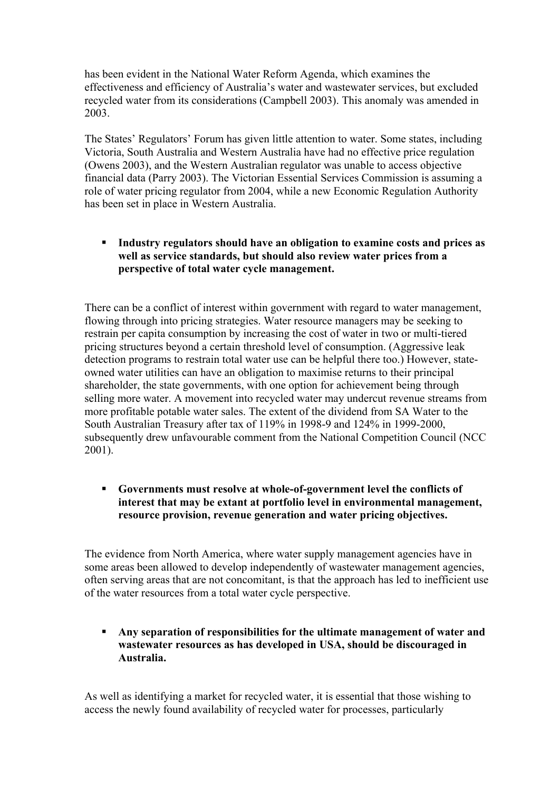has been evident in the National Water Reform Agenda, which examines the effectiveness and efficiency of Australia's water and wastewater services, but excluded recycled water from its considerations (Campbell 2003). This anomaly was amended in 2003.

The States' Regulators' Forum has given little attention to water. Some states, including Victoria, South Australia and Western Australia have had no effective price regulation (Owens 2003), and the Western Australian regulator was unable to access objective financial data (Parry 2003). The Victorian Essential Services Commission is assuming a role of water pricing regulator from 2004, while a new Economic Regulation Authority has been set in place in Western Australia.

 **Industry regulators should have an obligation to examine costs and prices as well as service standards, but should also review water prices from a perspective of total water cycle management.** 

There can be a conflict of interest within government with regard to water management, flowing through into pricing strategies. Water resource managers may be seeking to restrain per capita consumption by increasing the cost of water in two or multi-tiered pricing structures beyond a certain threshold level of consumption. (Aggressive leak detection programs to restrain total water use can be helpful there too.) However, stateowned water utilities can have an obligation to maximise returns to their principal shareholder, the state governments, with one option for achievement being through selling more water. A movement into recycled water may undercut revenue streams from more profitable potable water sales. The extent of the dividend from SA Water to the South Australian Treasury after tax of 119% in 1998-9 and 124% in 1999-2000, subsequently drew unfavourable comment from the National Competition Council (NCC 2001).

 **Governments must resolve at whole-of-government level the conflicts of interest that may be extant at portfolio level in environmental management, resource provision, revenue generation and water pricing objectives.** 

The evidence from North America, where water supply management agencies have in some areas been allowed to develop independently of wastewater management agencies, often serving areas that are not concomitant, is that the approach has led to inefficient use of the water resources from a total water cycle perspective.

 **Any separation of responsibilities for the ultimate management of water and wastewater resources as has developed in USA, should be discouraged in Australia.** 

As well as identifying a market for recycled water, it is essential that those wishing to access the newly found availability of recycled water for processes, particularly